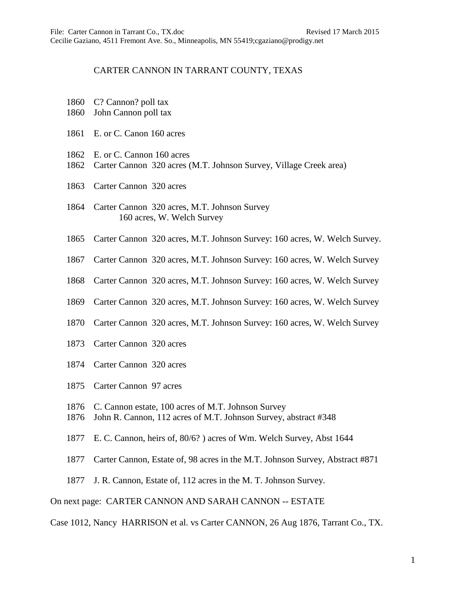## CARTER CANNON IN TARRANT COUNTY, TEXAS

- 1860 C? Cannon? poll tax
- 1860 John Cannon poll tax
- 1861 E. or C. Canon 160 acres
- 1862 E. or C. Cannon 160 acres
- 1862 Carter Cannon 320 acres (M.T. Johnson Survey, Village Creek area)
- 1863 Carter Cannon 320 acres
- 1864 Carter Cannon 320 acres, M.T. Johnson Survey 160 acres, W. Welch Survey
- 1865 Carter Cannon 320 acres, M.T. Johnson Survey: 160 acres, W. Welch Survey.
- 1867 Carter Cannon 320 acres, M.T. Johnson Survey: 160 acres, W. Welch Survey
- 1868 Carter Cannon 320 acres, M.T. Johnson Survey: 160 acres, W. Welch Survey
- 1869 Carter Cannon 320 acres, M.T. Johnson Survey: 160 acres, W. Welch Survey
- 1870 Carter Cannon 320 acres, M.T. Johnson Survey: 160 acres, W. Welch Survey
- 1873 Carter Cannon 320 acres
- 1874 Carter Cannon 320 acres
- 1875 Carter Cannon 97 acres
- 1876 C. Cannon estate, 100 acres of M.T. Johnson Survey
- 1876 John R. Cannon, 112 acres of M.T. Johnson Survey, abstract #348
- 1877 E. C. Cannon, heirs of, 80/6? ) acres of Wm. Welch Survey, Abst 1644
- 1877 Carter Cannon, Estate of, 98 acres in the M.T. Johnson Survey, Abstract #871
- 1877 J. R. Cannon, Estate of, 112 acres in the M. T. Johnson Survey.

On next page: CARTER CANNON AND SARAH CANNON -- ESTATE

Case 1012, Nancy HARRISON et al. vs Carter CANNON, 26 Aug 1876, Tarrant Co., TX.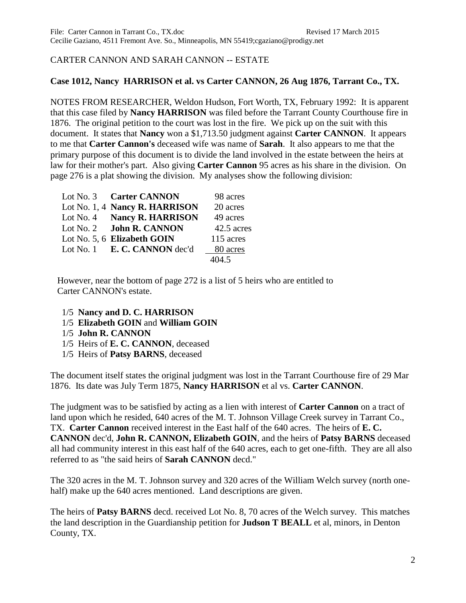## CARTER CANNON AND SARAH CANNON -- ESTATE

## **Case 1012, Nancy HARRISON et al. vs Carter CANNON, 26 Aug 1876, Tarrant Co., TX.**

NOTES FROM RESEARCHER, Weldon Hudson, Fort Worth, TX, February 1992: It is apparent that this case filed by **Nancy HARRISON** was filed before the Tarrant County Courthouse fire in 1876. The original petition to the court was lost in the fire. We pick up on the suit with this document. It states that **Nancy** won a \$1,713.50 judgment against **Carter CANNON**. It appears to me that **Carter Cannon's** deceased wife was name of **Sarah**. It also appears to me that the primary purpose of this document is to divide the land involved in the estate between the heirs at law for their mother's part. Also giving **Carter Cannon** 95 acres as his share in the division. On page 276 is a plat showing the division. My analyses show the following division:

| Lot No. 3 Carter CANNON        | 98 acres   |
|--------------------------------|------------|
| Lot No. 1, 4 Nancy R. HARRISON | 20 acres   |
| Lot No. 4 Nancy R. HARRISON    | 49 acres   |
| Lot No. 2 John R. CANNON       | 42.5 acres |
| Lot No. 5, 6 Elizabeth GOIN    | 115 acres  |
| Lot No. 1 E. C. CANNON dec'd   | 80 acres   |
|                                | 404.5      |

 However, near the bottom of page 272 is a list of 5 heirs who are entitled to Carter CANNON's estate.

- 1/5 **Nancy and D. C. HARRISON**
- 1/5 **Elizabeth GOIN** and **William GOIN**
- 1/5 **John R. CANNON**
- 1/5 Heirs of **E. C. CANNON**, deceased
- 1/5 Heirs of **Patsy BARNS**, deceased

The document itself states the original judgment was lost in the Tarrant Courthouse fire of 29 Mar 1876. Its date was July Term 1875, **Nancy HARRISON** et al vs. **Carter CANNON**.

The judgment was to be satisfied by acting as a lien with interest of **Carter Cannon** on a tract of land upon which he resided, 640 acres of the M. T. Johnson Village Creek survey in Tarrant Co., TX. **Carter Cannon** received interest in the East half of the 640 acres. The heirs of **E. C. CANNON** dec'd, **John R. CANNON, Elizabeth GOIN**, and the heirs of **Patsy BARNS** deceased all had community interest in this east half of the 640 acres, each to get one-fifth. They are all also referred to as "the said heirs of **Sarah CANNON** decd."

The 320 acres in the M. T. Johnson survey and 320 acres of the William Welch survey (north onehalf) make up the 640 acres mentioned. Land descriptions are given.

The heirs of **Patsy BARNS** decd. received Lot No. 8, 70 acres of the Welch survey. This matches the land description in the Guardianship petition for **Judson T BEALL** et al, minors, in Denton County, TX.